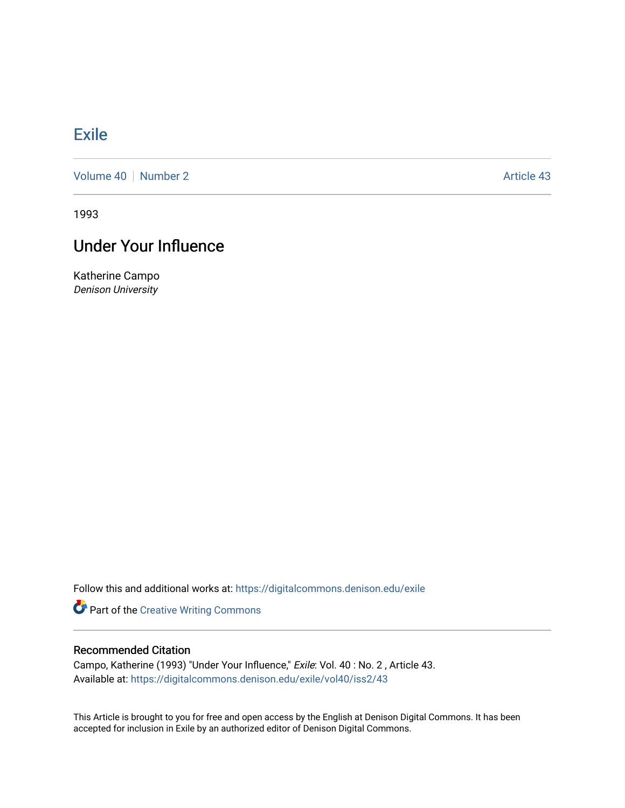## **[Exile](https://digitalcommons.denison.edu/exile)**

[Volume 40](https://digitalcommons.denison.edu/exile/vol40) [Number 2](https://digitalcommons.denison.edu/exile/vol40/iss2) Article 43

1993

## Under Your Influence

Katherine Campo Denison University

Follow this and additional works at: [https://digitalcommons.denison.edu/exile](https://digitalcommons.denison.edu/exile?utm_source=digitalcommons.denison.edu%2Fexile%2Fvol40%2Fiss2%2F43&utm_medium=PDF&utm_campaign=PDFCoverPages) 

Part of the [Creative Writing Commons](http://network.bepress.com/hgg/discipline/574?utm_source=digitalcommons.denison.edu%2Fexile%2Fvol40%2Fiss2%2F43&utm_medium=PDF&utm_campaign=PDFCoverPages) 

## Recommended Citation

Campo, Katherine (1993) "Under Your Influence," Exile: Vol. 40 : No. 2 , Article 43. Available at: [https://digitalcommons.denison.edu/exile/vol40/iss2/43](https://digitalcommons.denison.edu/exile/vol40/iss2/43?utm_source=digitalcommons.denison.edu%2Fexile%2Fvol40%2Fiss2%2F43&utm_medium=PDF&utm_campaign=PDFCoverPages)

This Article is brought to you for free and open access by the English at Denison Digital Commons. It has been accepted for inclusion in Exile by an authorized editor of Denison Digital Commons.